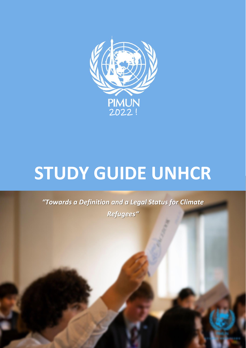

# **STUDY GUIDE UNHCR**

*"Towards a Definition and a Legal Status for Climate Refugees"*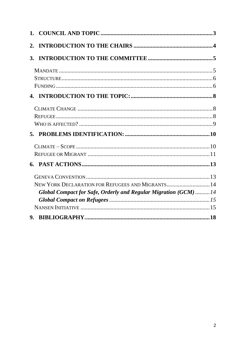| 1.        |                                                                 |  |
|-----------|-----------------------------------------------------------------|--|
| 2.        |                                                                 |  |
| <b>3.</b> |                                                                 |  |
|           |                                                                 |  |
|           |                                                                 |  |
|           |                                                                 |  |
|           |                                                                 |  |
|           |                                                                 |  |
|           |                                                                 |  |
|           |                                                                 |  |
|           |                                                                 |  |
|           |                                                                 |  |
|           |                                                                 |  |
|           |                                                                 |  |
|           |                                                                 |  |
|           | NEW YORK DECLARATION FOR REFUGEES AND MIGRANTS 14               |  |
|           | Global Compact for Safe, Orderly and Regular Migration (GCM) 14 |  |
|           |                                                                 |  |
|           |                                                                 |  |
|           |                                                                 |  |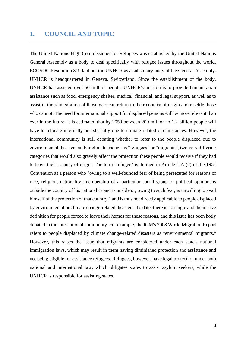## <span id="page-2-0"></span>**1. COUNCIL AND TOPIC**

The United Nations High Commissioner for Refugees was established by the United Nations General Assembly as a body to deal specifically with refugee issues throughout the world. ECOSOC Resolution 319 laid out the UNHCR as a subsidiary body of the General Assembly. UNHCR is headquartered in Geneva, Switzerland. Since the establishment of the body, UNHCR has assisted over 50 million people. UNHCR's mission is to provide humanitarian assistance such as food, emergency shelter, medical, financial, and legal support, as well as to assist in the reintegration of those who can return to their country of origin and resettle those who cannot. The need for international support for displaced persons will be more relevant than ever in the future. It is estimated that by 2050 between 200 million to 1.2 billion people will have to relocate internally or externally due to climate-related circumstances. However, the international community is still debating whether to refer to the people displaced due to environmental disasters and/or climate change as "refugees" or "migrants", two very differing categories that would also gravely affect the protection these people would receive if they had to leave their country of origin. The term "refugee" is defined in Article 1 A (2) of the 1951 Convention as a person who "owing to a well-founded fear of being persecuted for reasons of race, religion, nationality, membership of a particular social group or political opinion, is outside the country of his nationality and is unable or, owing to such fear, is unwilling to avail himself of the protection of that country," and is thus not directly applicable to people displaced by environmental or climate change-related disasters. To date, there is no single and distinctive definition for people forced to leave their homes for these reasons, and this issue has been hotly debated in the international community. For example, the IOM's 2008 World Migration Report refers to people displaced by climate change-related disasters as "environmental migrants." However, this raises the issue that migrants are considered under each state's national immigration laws, which may result in them having diminished protection and assistance and not being eligible for assistance refugees. Refugees, however, have legal protection under both national and international law, which obligates states to assist asylum seekers, while the UNHCR is responsible for assisting states.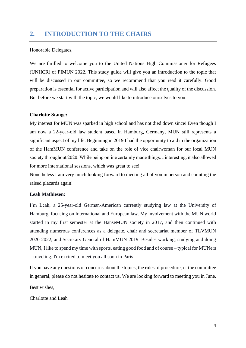## <span id="page-3-0"></span>**2. INTRODUCTION TO THE CHAIRS**

#### Honorable Delegates,

We are thrilled to welcome you to the United Nations High Commissioner for Refugees (UNHCR) of PIMUN 2022. This study guide will give you an introduction to the topic that will be discussed in our committee, so we recommend that you read it carefully. Good preparation is essential for active participation and will also affect the quality of the discussion. But before we start with the topic, we would like to introduce ourselves to you.

#### **Charlotte Stange:**

My interest for MUN was sparked in high school and has not died down since! Even though I am now a 22-year-old law student based in Hamburg, Germany, MUN still represents a significant aspect of my life. Beginning in 2019 I had the opportunity to aid in the organization of the HamMUN conference and take on the role of vice chairwoman for our local MUN society throughout 2020. While being online certainly made things…interesting, it also allowed for more international sessions, which was great to see!

Nonetheless I am very much looking forward to meeting all of you in person and counting the raised placards again!

#### **Leah Mathiesen:**

I'm Leah, a 25-year-old German-American currently studying law at the University of Hamburg, focusing on International and European law. My involvement with the MUN world started in my first semester at the HanseMUN society in 2017, and then continued with attending numerous conferences as a delegate, chair and secretariat member of TLVMUN 2020-2022, and Secretary General of HamMUN 2019. Besides working, studying and doing MUN, I like to spend my time with sports, eating good food and of course – typical for MUNers – traveling. I'm excited to meet you all soon in Paris!

If you have any questions or concerns about the topics, the rules of procedure, or the committee in general, please do not hesitate to contact us. We are looking forward to meeting you in June. Best wishes,

Charlotte and Leah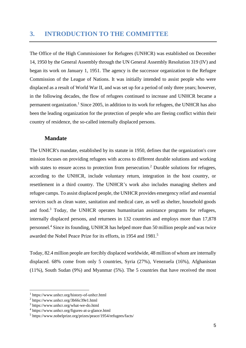<span id="page-4-0"></span>The Office of the High Commissioner for Refugees (UNHCR) was established on December 14, 1950 by the General Assembly through the UN General Assembly Resolution 319 (IV) and began its work on January 1, 1951. The agency is the successor organization to the Refugee Commission of the League of Nations. It was initially intended to assist people who were displaced as a result of World War II, and was set up for a period of only three years; however, in the following decades, the flow of refugees continued to increase and UNHCR became a permanent organization.<sup>1</sup> Since 2005, in addition to its work for refugees, the UNHCR has also been the leading organization for the protection of people who are fleeing conflict within their country of residence, the so-called internally displaced persons.

## <span id="page-4-1"></span>**Mandate**

The UNHCR's mandate, established by its statute in 1950, defines that the organization's core mission focuses on providing refugees with access to different durable solutions and working with states to ensure access to protection from persecution.<sup>2</sup> Durable solutions for refugees, according to the UNHCR, include voluntary return, integration in the host country, or resettlement in a third country. The UNHCR's work also includes managing shelters and refugee camps. To assist displaced people, the UNHCR provides emergency relief and essential services such as clean water, sanitation and medical care, as well as shelter, household goods and food.<sup>3</sup> Today, the UNHCR operates humanitarian assistance programs for refugees, internally displaced persons, and returnees in 132 countries and employs more than 17,878 personnel. <sup>4</sup> Since its founding, UNHCR has helped more than 50 million people and was twice awarded the Nobel Peace Prize for its efforts, in 1954 and 1981.<sup>5</sup>

Today, 82.4 million people are forcibly displaced worldwide, 48 million of whom are internally displaced. 68% come from only 5 countries, Syria (27%), Venezuela (16%), Afghanistan (11%), South Sudan (9%) and Myanmar (5%). The 5 countries that have received the most

<sup>1</sup> https://www.unhcr.org/history-of-unhcr.html

<sup>2</sup> https://www.unhcr.org/3b66c39e1.html

<sup>3</sup> https://www.unhcr.org/what-we-do.html

<sup>4</sup> https://www.unhcr.org/figures-at-a-glance.html

<sup>5</sup> https://www.nobelprize.org/prizes/peace/1954/refugees/facts/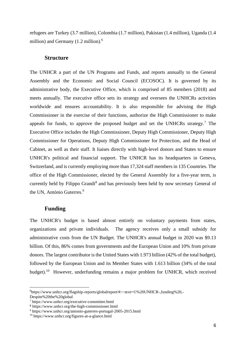<span id="page-5-0"></span>refugees are Turkey (3.7 million), Colombia (1.7 million), Pakistan (1.4 million), Uganda (1.4 million) and Germany (1.2 million).<sup>6</sup>

#### **Structure**

The UNHCR a part of the UN Programs and Funds, and reports annually to the General Assembly and the Economic and Social Council (ECOSOC). It is governed by its administrative body, the Executive Office, which is comprised of 85 members (2018) and meets annually. The executive office sets its strategy and oversees the UNHCRs activities worldwide and ensures accountability. It is also responsible for advising the High Commissioner in the exercise of their functions, authorize the High Commissioner to make appeals for funds, to approve the proposed budget and set the UNHCRs strategy.<sup>7</sup> The Executive Office includes the High Commissioner, Deputy High Commissioner, Deputy High Commissioner for Operations, Deputy High Commissioner for Protection, and the Head of Cabinet, as well as their staff. It liaises directly with high-level donors and States to ensure UNHCR's political and financial support. The UNHCR has its headquarters in Geneva, Switzerland, and is currently employing more than 17,324 staff members in 135 Countries. The office of the High Commissioner, elected by the General Assembly for a five-year term, is currently held by Filippo Grandi<sup>8</sup> and has previously been held by now secretary General of the UN, António Guterres.<sup>9</sup>

#### **Funding**

<span id="page-5-1"></span>The UNHCR's budget is based almost entirely on voluntary payments from states, organizations and private individuals. The agency receives only a small subsidy for administrative costs from the UN Budget. The UNHCR's annual budget in 2020 was \$9.13 billion. Of this, 86% comes from governments and the European Union and 10% from private donors. The largest contributor is the United States with 1.973 billion (42% of the total budget), followed by the European Union and its Member States with 1.613 billion (34% of the total budget).<sup>10</sup> However, underfunding remains a major problem for UNHCR, which received

<sup>6</sup> https://www.unhcr.org/flagship-reports/globalreport/#:~:text=©%20UNHCR-,funding%20,- Despite%20the%20global

<sup>7</sup> https://www.unhcr.org/executive-committee.html

<sup>8</sup> https://www.unhcr.org/the-high-commissioner.html

<sup>9</sup> https://www.unhcr.org/antonio-guterres-portugal-2005-2015.html

<sup>10</sup> https://www.unhcr.org/figures-at-a-glance.html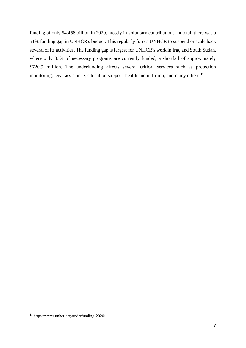funding of only \$4.458 billion in 2020, mostly in voluntary contributions. In total, there was a 51% funding gap in UNHCR's budget. This regularly forces UNHCR to suspend or scale back several of its activities. The funding gap is largest for UNHCR's work in Iraq and South Sudan, where only 33% of necessary programs are currently funded, a shortfall of approximately \$720.9 million. The underfunding affects several critical services such as protection monitoring, legal assistance, education support, health and nutrition, and many others.<sup>11</sup>

<sup>11</sup> https://www.unhcr.org/underfunding-2020/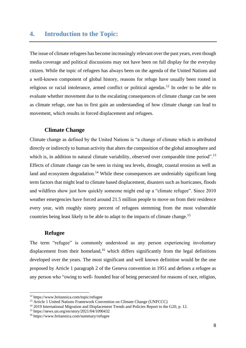## <span id="page-7-0"></span>**4. Introduction to the Topic:**

The issue of climate refugees has become increasingly relevant over the past years, even though media coverage and political discussions may not have been on full display for the everyday citizen. While the topic of refugees has always been on the agenda of the United Nations and a well-known component of global history, reasons for refuge have usually been rooted in religious or racial intolerance, armed conflict or political agendas.<sup>12</sup> In order to be able to evaluate whether movement due to the escalating consequences of climate change can be seen as climate refuge, one has to first gain an understanding of how climate change can lead to movement, which results in forced displacement and refugees.

#### <span id="page-7-1"></span>**Climate Change**

Climate change as defined by the United Nations is "a change of climate which is attributed directly or indirectly to human activity that alters the composition of the global atmosphere and which is, in addition to natural climate variability, observed over comparable time period".<sup>13</sup> Effects of climate change can be seen in rising sea levels, drought, coastal erosion as well as land and ecosystem degradation.<sup>14</sup> While these consequences are undeniably significant long term factors that might lead to climate based displacement, disasters such as hurricanes, floods and wildfires show just how quickly someone might end up a "climate refugee". Since 2010 weather emergencies have forced around 21.5 million people to move on from their residence every year, with roughly ninety percent of refugees stemming from the most vulnerable countries being least likely to be able to adapt to the impacts of climate change.<sup>15</sup>

## **Refugee**

<span id="page-7-2"></span>The term "refugee" is commonly understood as any person experiencing involuntary displacement from their homeland,<sup>16</sup> which differs significantly from the legal definitions developed over the years. The most significant and well known definition would be the one proposed by Article 1 paragraph 2 of the Geneva convention in 1951 and defines a refugee as any person who "owing to well- founded fear of being persecuted for reasons of race, religion,

<sup>12</sup> https://www.britannica.com/topic/refugee

<sup>&</sup>lt;sup>13</sup> Article 1 United Nations Framework Convention on Climate Change (UNFCCC)

<sup>&</sup>lt;sup>14</sup> 2019 International Migration and Displacement Trends and Policies Report to the G20, p. 12.

<sup>15</sup> https://news.un.org/en/story/2021/04/1090432

<sup>16</sup> https://www.britannica.com/summary/refugee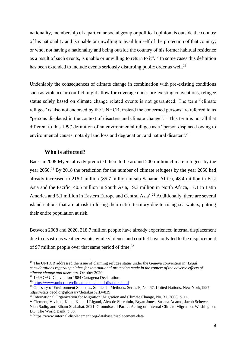nationality, membership of a particular social group or political opinion, is outside the country of his nationality and is unable or unwilling to avail himself of the protection of that country; or who, not having a nationality and being outside the country of his former habitual residence as a result of such events, is unable or unwilling to return to it".<sup>17</sup> In some cases this definition has been extended to include events seriously disturbing public order as well.<sup>18</sup>

Undeniably the consequences of climate change in combination with pre-existing conditions such as violence or conflict might allow for coverage under pre-existing conventions, refugee status solely based on climate change related events is not guaranteed. The term "climate refugee" is also not endorsed by the UNHCR, instead the concerned persons are referred to as "persons displaced in the context of disasters and climate change".<sup>19</sup> This term is not all that different to this 1997 definition of an environmental refugee as a "person displaced owing to environmental causes, notably land loss and degradation, and natural disaster".<sup>20</sup>

## <span id="page-8-0"></span>**Who is affected?**

Back in 2008 Myers already predicted there to be around 200 million climate refugees by the year 2050.<sup>21</sup> By 2018 the prediction for the number of climate refugees by the year 2050 had already increased to 216.1 million (85.7 million in sub-Saharan Africa, 48.4 million in East Asia and the Pacific, 40.5 million in South Asia, 19.3 million in North Africa, 17.1 in Latin America and 5.1 million in Eastern Europe and Central Asia).<sup>22</sup> Additionally, there are several island nations that are at risk to losing their entire territory due to rising sea waters, putting their entire population at risk.

Between 2008 and 2020, 318.7 million people have already experienced internal displacement due to disastrous weather events, while violence and conflict have only led to the displacement of 97 million people over that same period of time.<sup>23</sup>

<sup>17</sup> The UNHCR addressed the issue of claiming refugee status under the Geneva convention in; *Legal considerations regarding claims for international protection made in the context of the adverse effects of climate change and disasters*, October 2020.

<sup>18</sup> 1969 OAU Convention 1984 Cartagena Declaration

<sup>19</sup> <https://www.unhcr.org/climate-change-and-disasters.html>

<sup>&</sup>lt;sup>20</sup> Glossary of Environment Statistics, Studies in Methods, Series F, No. 67, United Nations, New York,1997; https://stats.oecd.org/glossary/detail.asp?ID=839

<sup>21</sup> International Organization for Migration: Migration and Climate Change, No. 31, 2008, p. 11.

<sup>22</sup> Clement, Viviane, Kanta Kumari Rigaud, Alex de Sherbinin, Bryan Jones, Susana Adamo, Jacob Schewe,

Nian Sadiq, and Elham Shabahat. 2021. Groundswell Part 2: Acting on Internal Climate Migration. Washington, DC: The World Bank, p.80.

<sup>23</sup> https://www.internal-displacement.org/database/displacement-data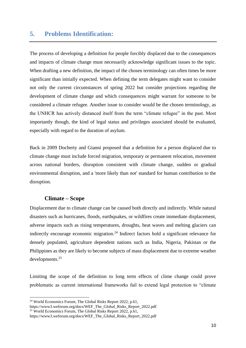## <span id="page-9-0"></span>**5. Problems Identification:**

The process of developing a definition for people forcibly displaced due to the consequences and impacts of climate change must necessarily acknowledge significant issues to the topic. When drafting a new definition, the impact of the chosen terminology can often times be more significant than initially expected. When defining the term delegates might want to consider not only the current circumstances of spring 2022 but consider projections regarding the development of climate change and which consequences might warrant for someone to be considered a climate refugee. Another issue to consider would be the chosen terminology, as the UNHCR has actively distanced itself from the term "climate refugee" in the past. Most importantly though, the kind of legal status and privileges associated should be evaluated, especially with regard to the duration of asylum.

Back in 2009 Docherty and Gianni proposed that a definition for a person displaced due to climate change must include forced migration, temporary or permanent relocation, movement across national borders, disruption consistent with climate change, sudden or gradual environmental disruption, and a 'more likely than not' standard for human contribution to the disruption.

## <span id="page-9-1"></span>**Climate – Scope**

Displacement due to climate change can be caused both directly and indirectly. While natural disasters such as hurricanes, floods, earthquakes, or wildfires create immediate displacement, adverse impacts such as rising temperatures, droughts, heat waves and melting glaciers can indirectly encourage economic migration.<sup>24</sup> Indirect factors hold a significant relevance for densely populated, agriculture dependent nations such as India, Nigeria, Pakistan or the Philippines as they are likely to become subjects of mass displacement due to extreme weather developments.<sup>25</sup>

Limiting the scope of the definition to long term effects of clime change could prove problematic as current international frameworks fail to extend legal protection to "climate

<sup>&</sup>lt;sup>24</sup> World Economics Forum, The Global Risks Report 2022, p.61,

https://www3.weforum.org/docs/WEF\_The\_Global\_Risks\_Report\_2022.pdf

<sup>&</sup>lt;sup>25</sup> World Economics Forum, The Global Risks Report 2022, p.61,

https://www3.weforum.org/docs/WEF\_The\_Global\_Risks\_Report\_2022.pdf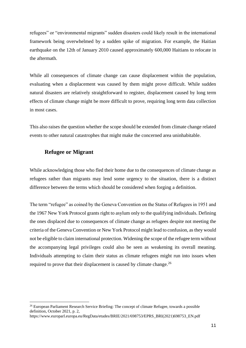refugees" or "environmental migrants" sudden disasters could likely result in the international framework being overwhelmed by a sudden spike of migration. For example, the Haitian earthquake on the 12th of January 2010 caused approximately 600,000 Haitians to relocate in the aftermath.

While all consequences of climate change can cause displacement within the population, evaluating when a displacement was caused by them might prove difficult. While sudden natural disasters are relatively straightforward to register, displacement caused by long term effects of climate change might be more difficult to prove, requiring long term data collection in most cases.

<span id="page-10-0"></span>This also raises the question whether the scope should be extended from climate change related events to other natural catastrophes that might make the concerned area uninhabitable.

## **Refugee or Migrant**

While acknowledging those who fled their home due to the consequences of climate change as refugees rather than migrants may lend some urgency to the situation, there is a distinct difference between the terms which should be considered when forging a definition.

The term "refugee" as coined by the Geneva Convention on the Status of Refugees in 1951 and the 1967 New York Protocol grants right to asylum only to the qualifying individuals. Defining the ones displaced due to consequences of climate change as refugees despite not meeting the criteria of the Geneva Convention or New York Protocol might lead to confusion, as they would not be eligible to claim international protection. Widening the scope of the refugee term without the accompanying legal privileges could also be seen as weakening its overall meaning. Individuals attempting to claim their status as climate refugees might run into issues when required to prove that their displacement is caused by climate change.<sup>26</sup>

<sup>&</sup>lt;sup>26</sup> European Parliament Research Service Briefing: The concept of climate Refugee, towards a possible definition, October 2021, p. 2, https://www.europarl.europa.eu/RegData/etudes/BRIE/2021/698753/EPRS\_BRI(2021)698753\_EN.pdf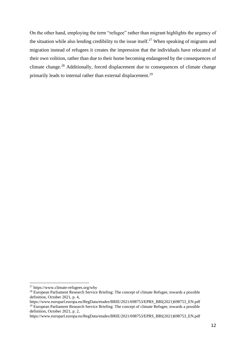On the other hand, employing the term "refugee" rather than migrant highlights the urgency of the situation while also lending credibility to the issue itself.<sup>27</sup> When speaking of migrants and migration instead of refugees it creates the impression that the individuals have relocated of their own volition, rather than due to their home becoming endangered by the consequences of climate change.<sup>28</sup> Additionally, forced displacement due to consequences of climate change primarily leads to internal rather than external displacement.<sup>29</sup>

<sup>27</sup> https://www.climate-refugees.org/why

<sup>&</sup>lt;sup>28</sup> European Parliament Research Service Briefing: The concept of climate Refugee, towards a possible definition, October 2021, p. 4,

https://www.europarl.europa.eu/RegData/etudes/BRIE/2021/698753/EPRS\_BRI(2021)698753\_EN.pdf <sup>29</sup> European Parliament Research Service Briefing: The concept of climate Refugee, towards a possible definition, October 2021, p. 2,

https://www.europarl.europa.eu/RegData/etudes/BRIE/2021/698753/EPRS\_BRI(2021)698753\_EN.pdf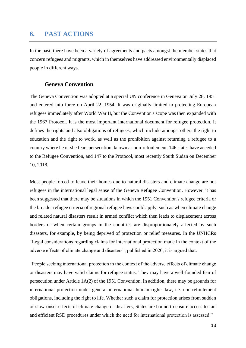## <span id="page-12-0"></span>**6. PAST ACTIONS**

In the past, there have been a variety of agreements and pacts amongst the member states that concern refugees and migrants, which in themselves have addressed environmentally displaced people in different ways.

## **Geneva Convention**

<span id="page-12-1"></span>The Geneva Convention was adopted at a special UN conference in Geneva on July 28, 1951 and entered into force on April 22, 1954. It was originally limited to protecting European refugees immediately after World War II, but the Convention's scope was then expanded with the 1967 Protocol. It is the most important international document for refugee protection. It defines the rights and also obligations of refugees, which include amongst others the right to education and the right to work, as well as the prohibition against returning a refugee to a country where he or she fears persecution, known as non-refoulement. 146 states have acceded to the Refugee Convention, and 147 to the Protocol, most recently South Sudan on December 10, 2018.

Most people forced to leave their homes due to natural disasters and climate change are not refugees in the international legal sense of the Geneva Refugee Convention. However, it has been suggested that there may be situations in which the 1951 Convention's refugee criteria or the broader refugee criteria of regional refugee laws could apply, such as when climate change and related natural disasters result in armed conflict which then leads to displacement across borders or when certain groups in the countries are disproportionately affected by such disasters, for example, by being deprived of protection or relief measures. In the UNHCRs "Legal considerations regarding claims for international protection made in the context of the adverse effects of climate change and disasters", published in 2020, it is argued that:

"People seeking international protection in the context of the adverse effects of climate change or disasters may have valid claims for refugee status. They may have a well-founded fear of persecution under Article 1A(2) of the 1951 Convention. In addition, there may be grounds for international protection under general international human rights law, i.e. non-refoulement obligations, including the right to life. Whether such a claim for protection arises from sudden or slow-onset effects of climate change or disasters, States are bound to ensure access to fair and efficient RSD procedures under which the need for international protection is assessed."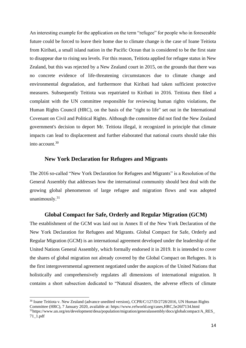An interesting example for the application on the term "refugee" for people who in foreseeable future could be forced to leave their home due to climate change is the case of Ioane Teitiota from Kiribati, a small island nation in the Pacific Ocean that is considered to be the first state to disappear due to rising sea levels. For this reason, Teitiota applied for refugee status in New Zealand, but this was rejected by a New Zealand court in 2015, on the grounds that there was no concrete evidence of life-threatening circumstances due to climate change and environmental degradation, and furthermore that Kiribati had taken sufficient protective measures. Subsequently Teitiota was repatriated to Kiribati in 2016. Teitiota then filed a complaint with the UN committee responsible for reviewing human rights violations, the Human Rights Council (HRC), on the basis of the "right to life" set out in the International Covenant on Civil and Political Rights. Although the committee did not find the New Zealand government's decision to deport Mr. Teitiota illegal, it recognized in principle that climate impacts can lead to displacement and further elaborated that national courts should take this into account  $30$ 

#### **New York Declaration for Refugees and Migrants**

<span id="page-13-0"></span>The 2016 so-called "New York Declaration for Refugees and Migrants" is a Resolution of the General Assembly that addresses how the international community should best deal with the growing global phenomenon of large refugee and migration flows and was adopted unanimously.<sup>31</sup>

### **Global Compact for Safe, Orderly and Regular Migration (GCM)**

<span id="page-13-1"></span>The establishment of the GCM was laid out in Annex II of the New York Declaration of the New York Declaration for Refugees and Migrants. Global Compact for Safe, Orderly and Regular Migration (GCM) is an international agreement developed under the leadership of the United Nations General Assembly, which formally endorsed it in 2019. It is intended to cover the shares of global migration not already covered by the Global Compact on Refugees. It is the first intergovernmental agreement negotiated under the auspices of the United Nations that holistically and comprehensively regulates all dimensions of international migration. It contains a short subsection dedicated to "Natural disasters, the adverse effects of climate

<sup>&</sup>lt;sup>30</sup> Ioane Teitiota v. New Zealand (advance unedited version), CCPR/C/127/D/2728/2016, UN Human Rights Committee (HRC), 7 January 2020, available at: https://www.refworld.org/cases,HRC,5e26f7134.html

<sup>31</sup>https://www.un.org/en/development/desa/population/migration/generalassembly/docs/globalcompact/A\_RES\_ 71\_1.pdf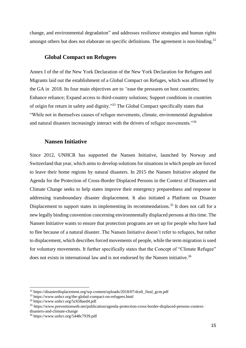<span id="page-14-0"></span>change, and environmental degradation" and addresses resilience strategies and human rights amongst others but does not elaborate on specific definitions. The agreement is non-binding.<sup>32</sup>

## **Global Compact on Refugees**

Annex I of the of the New York Declaration of the New York Declaration for Refugees and Migrants laid out the establishment of a Global Compact on Refuges, which was affirmed by the GA in 2018. Its four main objectives are to *"*ease the pressures on host countries; Enhance reliance; Expand access to third-country solutions; Support conditions in countries of origin for return in safety and dignity*.*" <sup>33</sup> The Global Compact specifically states that "While not in themselves causes of refugee movements, climate, environmental degradation and natural disasters increasingly interact with the drivers of refugee movements."<sup>34</sup>

#### **Nansen Initiative**

<span id="page-14-1"></span>Since 2012, UNHCR has supported the Nansen Initiative, launched by Norway and Switzerland that year, which aims to develop solutions for situations in which people are forced to leave their home regions by natural disasters. In 2015 the Nansen Initiative adopted the Agenda for the Protection of Cross-Border Displaced Persons in the Context of Disasters and Climate Change seeks to help states improve their emergency preparedness and response in addressing transboundary disaster displacement. It also initiated a Platform on Disaster Displacement to support states in implementing its recommendations.<sup>35</sup> It does not call for a new legally binding convention concerning environmentally displaced persons at this time. The Nansen Initiative wants to ensure that protection programs are set up for people who have had to flee because of a natural disaster. The Nansen Initiative doesn't refer to refugees, but rather to displacement, which describes forced movements of people, while the term migration is used for voluntary movements. It further specifically states that the Concept of "Climate Refugee" does not exists in international law and is not endorsed by the Nansen initiative.<sup>36</sup>

<sup>&</sup>lt;sup>32</sup> https://disasterdisplacement.org/wp-content/uploads/2018/07/draft\_final\_gcm.pdf

<sup>33</sup> https://www.unhcr.org/the-global-compact-on-refugees.html

<sup>34</sup> https://www.unhcr.org/5c658aed4.pdf

<sup>35</sup> https://www.preventionweb.net/publication/agenda-protection-cross-border-displaced-persons-context-

disasters-and-climate-change

<sup>36</sup> https://www.unhcr.org/5448c7939.pdf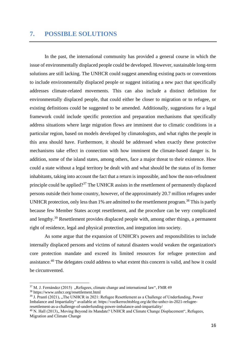## **7. POSSIBLE SOLUTIONS**

In the past, the international community has provided a general course in which the issue of environmentally displaced people could be developed. However, sustainable long-term solutions are still lacking. The UNHCR could suggest amending existing pacts or conventions to include environmentally displaced people or suggest initiating a new pact that specifically addresses climate-related movements. This can also include a distinct definition for environmentally displaced people, that could either be closer to migration or to refugee, or existing definitions could be suggested to be amended. Additionally, suggestions for a legal framework could include specific protection and preparation mechanisms that specifically address situations where large migration flows are imminent due to climatic conditions in a particular region, based on models developed by climatologists, and what rights the people in this area should have. Furthermore, it should be addressed when exactly these protective mechanisms take effect in connection with how imminent the climate-based danger is. In addition, some of the island states, among others, face a major threat to their existence. How could a state without a legal territory be dealt with and what should be the status of its former inhabitants, taking into account the fact that a return is impossible, and how the non-refoulment principle could be applied?<sup>37</sup> The UNHCR assists in the resettlement of permanently displaced persons outside their home country, however, of the approximately 20.7 million refugees under UNHCR protection, only less than 1% are admitted to the resettlement program.<sup>38</sup> This is partly because few Member States accept resettlement, and the procedure can be very complicated and lengthy.<sup>39</sup> Resettlement provides displaced people with, among other things, a permanent right of residence, legal and physical protection, and integration into society.

As some argue that the expansion of UNHCR's powers and responsibilities to include internally displaced persons and victims of natural disasters would weaken the organization's core protection mandate and exceed its limited resources for refugee protection and assistance.<sup>40</sup> The delegates could address to what extent this concern is valid, and how it could be circumvented.

 $37$  M. J. Fernández (2015) "Refugees, climate change and international law", FMR 49

<sup>38</sup> https://www.unhcr.org/resettlement.html

 $39$  J. Prantl (2021), "The UNHCR in 2021: Refugee Resettlement as a Challenge of Underfunding, Power Imbalance and Impartiality" available at: https://voelkerrechtsblog.org/de/the-unhcr-in-2021-refugeeresettlement-as-a-challenge-of-underfunding-power-imbalance-and-impartiality/

<sup>&</sup>lt;sup>40</sup> N. Hall (2013),, Moving Beyond its Mandate? UNHCR and Climate Change Displacement", Refugees, Migration and Climate Change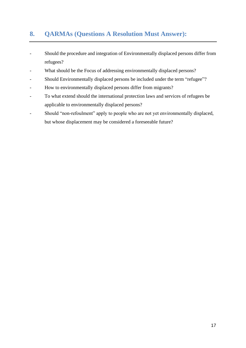## **8. QARMAs (Questions A Resolution Must Answer):**

- Should the procedure and integration of Environmentally displaced persons differ from refugees?
- What should be the Focus of addressing environmentally displaced persons?
- Should Environmentally displaced persons be included under the term "refugee"?
- How to environmentally displaced persons differ from migrants?
- To what extend should the international protection laws and services of refugees be applicable to environmentally displaced persons?
- Should "non-refoulment" apply to people who are not yet environmentally displaced, but whose displacement may be considered a foreseeable future?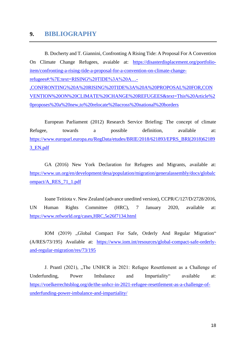## <span id="page-17-0"></span>**9. BIBLIOGRAPHY**

B. Docherty and T. Giannini, Confronting A Rising Tide: A Proposal For A Convention On Climate Change Refugees, avaiable at: [https://disasterdisplacement.org/portfolio](https://disasterdisplacement.org/portfolio-item/confronting-a-rising-tide-a-proposal-for-a-convention-on-climate-change-refugees#:%7E:text=RISING%20TIDE%3A%20A…-,CONFRONTING%20A%20RISING%20TIDE%3A%20A%20PROPOSAL%20FOR,CONVENTION%20ON%20CLIMATE%20CHANGE%20REFUGEES&text=This%20Article%20proposes%20a%20new,to%20relocate%20across%20national%20borders)[item/confronting-a-rising-tide-a-proposal-for-a-convention-on-climate-change](https://disasterdisplacement.org/portfolio-item/confronting-a-rising-tide-a-proposal-for-a-convention-on-climate-change-refugees#:%7E:text=RISING%20TIDE%3A%20A…-,CONFRONTING%20A%20RISING%20TIDE%3A%20A%20PROPOSAL%20FOR,CONVENTION%20ON%20CLIMATE%20CHANGE%20REFUGEES&text=This%20Article%20proposes%20a%20new,to%20relocate%20across%20national%20borders)[refugees#:%7E:text=RISING%20TIDE%3A%20A…-](https://disasterdisplacement.org/portfolio-item/confronting-a-rising-tide-a-proposal-for-a-convention-on-climate-change-refugees#:%7E:text=RISING%20TIDE%3A%20A…-,CONFRONTING%20A%20RISING%20TIDE%3A%20A%20PROPOSAL%20FOR,CONVENTION%20ON%20CLIMATE%20CHANGE%20REFUGEES&text=This%20Article%20proposes%20a%20new,to%20relocate%20across%20national%20borders) [,CONFRONTING%20A%20RISING%20TIDE%3A%20A%20PROPOSAL%20FOR,CON](https://disasterdisplacement.org/portfolio-item/confronting-a-rising-tide-a-proposal-for-a-convention-on-climate-change-refugees#:%7E:text=RISING%20TIDE%3A%20A…-,CONFRONTING%20A%20RISING%20TIDE%3A%20A%20PROPOSAL%20FOR,CONVENTION%20ON%20CLIMATE%20CHANGE%20REFUGEES&text=This%20Article%20proposes%20a%20new,to%20relocate%20across%20national%20borders) [VENTION%20ON%20CLIMATE%20CHANGE%20REFUGEES&text=This%20Article%2](https://disasterdisplacement.org/portfolio-item/confronting-a-rising-tide-a-proposal-for-a-convention-on-climate-change-refugees#:%7E:text=RISING%20TIDE%3A%20A…-,CONFRONTING%20A%20RISING%20TIDE%3A%20A%20PROPOSAL%20FOR,CONVENTION%20ON%20CLIMATE%20CHANGE%20REFUGEES&text=This%20Article%20proposes%20a%20new,to%20relocate%20across%20national%20borders) [0proposes%20a%20new,to%20relocate%20across%20national%20borders](https://disasterdisplacement.org/portfolio-item/confronting-a-rising-tide-a-proposal-for-a-convention-on-climate-change-refugees#:%7E:text=RISING%20TIDE%3A%20A…-,CONFRONTING%20A%20RISING%20TIDE%3A%20A%20PROPOSAL%20FOR,CONVENTION%20ON%20CLIMATE%20CHANGE%20REFUGEES&text=This%20Article%20proposes%20a%20new,to%20relocate%20across%20national%20borders)

European Parliament (2012) Research Service Briefing: The concept of climate Refugee, towards a possible definition, available at: [https://www.europarl.europa.eu/RegData/etudes/BRIE/2018/621893/EPRS\\_BRI\(2018\)62189](https://www.europarl.europa.eu/RegData/etudes/BRIE/2018/621893/EPRS_BRI(2018)621893_EN.pdf) [3\\_EN.pdf](https://www.europarl.europa.eu/RegData/etudes/BRIE/2018/621893/EPRS_BRI(2018)621893_EN.pdf)

GA (2016) New York Declaration for Refugees and Migrants, available at: [https://www.un.org/en/development/desa/population/migration/generalassembly/docs/globalc](https://www.un.org/en/development/desa/population/migration/generalassembly/docs/globalcompact/A_RES_71_1.pdf) [ompact/A\\_RES\\_71\\_1.pdf](https://www.un.org/en/development/desa/population/migration/generalassembly/docs/globalcompact/A_RES_71_1.pdf)

Ioane Teitiota v. New Zealand (advance unedited version), CCPR/C/127/D/2728/2016, UN Human Rights Committee (HRC), 7 January 2020, available at: <https://www.refworld.org/cases,HRC,5e26f7134.html>

IOM (2019) "Global Compact For Safe, Orderly And Regular Migration" (A/RES/73/195) Available at: [https://www.iom.int/resources/global-compact-safe-orderly](https://www.iom.int/resources/global-compact-safe-orderly-and-regular-migration/res/73/195)[and-regular-migration/res/73/195](https://www.iom.int/resources/global-compact-safe-orderly-and-regular-migration/res/73/195)

J. Prantl (2021), "The UNHCR in 2021: Refugee Resettlement as a Challenge of Underfunding, Power Imbalance and Impartiality available at: [https://voelkerrechtsblog.org/de/the-unhcr-in-2021-refugee-resettlement-as-a-challenge-of](https://voelkerrechtsblog.org/de/the-unhcr-in-2021-refugee-resettlement-as-a-challenge-of-underfunding-power-imbalance-and-impartiality/)[underfunding-power-imbalance-and-impartiality/](https://voelkerrechtsblog.org/de/the-unhcr-in-2021-refugee-resettlement-as-a-challenge-of-underfunding-power-imbalance-and-impartiality/)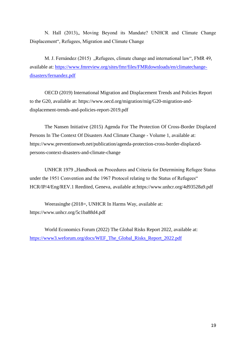N. Hall (2013),, Moving Beyond its Mandate? UNHCR and Climate Change Displacement", Refugees, Migration and Climate Change

M. J. Fernández (2015), Refugees, climate change and international law", FMR 49, available at: [https://www.fmreview.org/sites/fmr/files/FMRdownloads/en/climatechange](https://www.fmreview.org/sites/fmr/files/FMRdownloads/en/climatechange-disasters/fernandez.pdf)[disasters/fernandez.pdf](https://www.fmreview.org/sites/fmr/files/FMRdownloads/en/climatechange-disasters/fernandez.pdf)

OECD (2019) International Migration and Displacement Trends and Policies Report to the G20, available at: [https://www.oecd.org/migration/mig/G20-migration-and](https://www.oecd.org/migration/mig/G20-migration-and-displacement-trends-and-policies-report-2019.pdf)[displacement-trends-and-policies-report-2019.pdf](https://www.oecd.org/migration/mig/G20-migration-and-displacement-trends-and-policies-report-2019.pdf)

The Nansen Initiative (2015) Agenda For The Protection Of Cross-Border Displaced Persons In The Context Of Disasters And Climate Change - Volume 1, available at: https://www.preventionweb.net/publication/agenda-protection-cross-border-displacedpersons-context-disasters-and-climate-change

UNHCR 1979 "Handbook on Procedures and Criteria for Determining Refugee Status under the 1951 Convention and the 1967 Protocol relating to the Status of Refugees" HCR/IP/4/Eng/REV.1 Reedited, Geneva, available at[:https://www.unhcr.org/4d93528a9.pdf](https://www.unhcr.org/4d93528a9.pdf)

Weerasinghe (2018=, UNHCR In Harms Way, available at: https://www.unhcr.org/5c1ba88d4.pdf

World Economics Forum (2022) The Global Risks Report 2022, available at: [https://www3.weforum.org/docs/WEF\\_The\\_Global\\_Risks\\_Report\\_2022.pdf](https://www3.weforum.org/docs/WEF_The_Global_Risks_Report_2022.pdf)